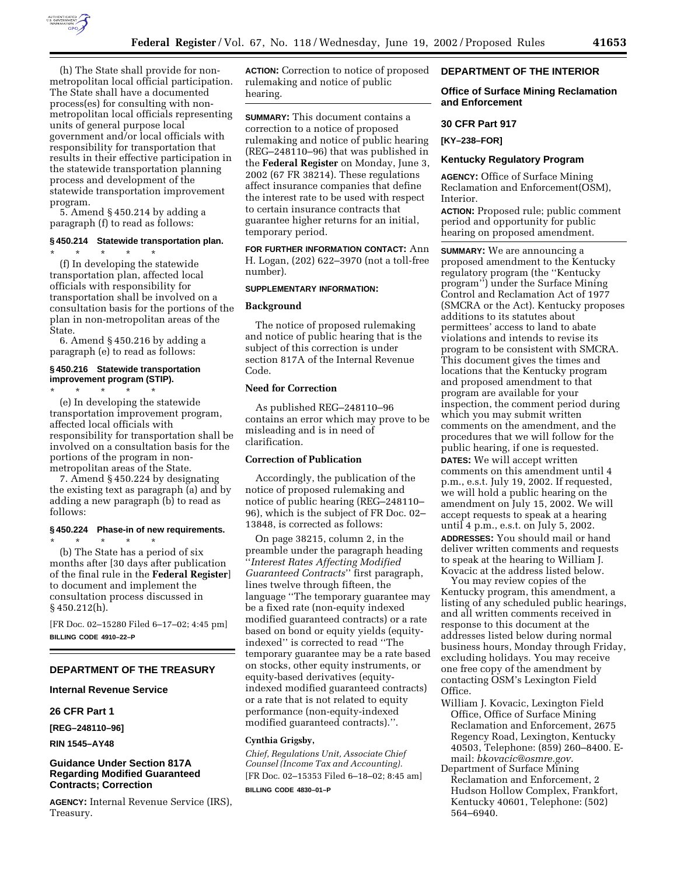

process and development of the statewide transportation improvement program. 5. Amend § 450.214 by adding a

paragraph (f) to read as follows:

# **§ 450.214 Statewide transportation plan.**

\* \* \* \* \* (f) In developing the statewide transportation plan, affected local officials with responsibility for transportation shall be involved on a consultation basis for the portions of the plan in non-metropolitan areas of the State.

6. Amend § 450.216 by adding a paragraph (e) to read as follows:

### **§ 450.216 Statewide transportation improvement program (STIP).**

\* \* \* \* \* (e) In developing the statewide transportation improvement program, affected local officials with responsibility for transportation shall be involved on a consultation basis for the portions of the program in nonmetropolitan areas of the State.

7. Amend § 450.224 by designating the existing text as paragraph (a) and by adding a new paragraph (b) to read as follows:

#### **§ 450.224 Phase-in of new requirements.**

\* \* \* \* \* (b) The State has a period of six months after [30 days after publication of the final rule in the **Federal Register**] to document and implement the consultation process discussed in § 450.212(h).

[FR Doc. 02–15280 Filed 6–17–02; 4:45 pm] **BILLING CODE 4910–22–P**

### **DEPARTMENT OF THE TREASURY**

### **Internal Revenue Service**

## **26 CFR Part 1**

**[REG–248110–96]** 

**RIN 1545–AY48** 

## **Guidance Under Section 817A Regarding Modified Guaranteed Contracts; Correction**

**AGENCY:** Internal Revenue Service (IRS), Treasury.

**ACTION:** Correction to notice of proposed rulemaking and notice of public hearing.

**SUMMARY:** This document contains a correction to a notice of proposed rulemaking and notice of public hearing (REG–248110–96) that was published in the **Federal Register** on Monday, June 3, 2002 (67 FR 38214). These regulations affect insurance companies that define the interest rate to be used with respect to certain insurance contracts that guarantee higher returns for an initial, temporary period.

**FOR FURTHER INFORMATION CONTACT:** Ann H. Logan, (202) 622–3970 (not a toll-free number).

### **SUPPLEMENTARY INFORMATION:**

#### **Background**

The notice of proposed rulemaking and notice of public hearing that is the subject of this correction is under section 817A of the Internal Revenue Code.

## **Need for Correction**

As published REG–248110–96 contains an error which may prove to be misleading and is in need of clarification.

### **Correction of Publication**

Accordingly, the publication of the notice of proposed rulemaking and notice of public hearing (REG–248110– 96), which is the subject of FR Doc. 02– 13848, is corrected as follows:

On page 38215, column 2, in the preamble under the paragraph heading ''*Interest Rates Affecting Modified Guaranteed Contracts*'' first paragraph, lines twelve through fifteen, the language ''The temporary guarantee may be a fixed rate (non-equity indexed modified guaranteed contracts) or a rate based on bond or equity yields (equityindexed'' is corrected to read ''The temporary guarantee may be a rate based on stocks, other equity instruments, or equity-based derivatives (equityindexed modified guaranteed contracts) or a rate that is not related to equity performance (non-equity-indexed modified guaranteed contracts).''.

## **Cynthia Grigsby,**

*Chief, Regulations Unit, Associate Chief Counsel (Income Tax and Accounting).* [FR Doc. 02–15353 Filed 6–18–02; 8:45 am] **BILLING CODE 4830–01–P**

## **DEPARTMENT OF THE INTERIOR**

# **Office of Surface Mining Reclamation and Enforcement**

### **30 CFR Part 917**

**[KY–238–FOR]** 

#### **Kentucky Regulatory Program**

**AGENCY:** Office of Surface Mining Reclamation and Enforcement(OSM), Interior.

**ACTION:** Proposed rule; public comment period and opportunity for public hearing on proposed amendment.

**SUMMARY:** We are announcing a proposed amendment to the Kentucky regulatory program (the ''Kentucky program'') under the Surface Mining Control and Reclamation Act of 1977 (SMCRA or the Act). Kentucky proposes additions to its statutes about permittees' access to land to abate violations and intends to revise its program to be consistent with SMCRA. This document gives the times and locations that the Kentucky program and proposed amendment to that program are available for your inspection, the comment period during which you may submit written comments on the amendment, and the procedures that we will follow for the public hearing, if one is requested. **DATES:** We will accept written comments on this amendment until 4 p.m., e.s.t. July 19, 2002. If requested, we will hold a public hearing on the amendment on July 15, 2002. We will accept requests to speak at a hearing until 4 p.m., e.s.t. on July 5, 2002. **ADDRESSES:** You should mail or hand deliver written comments and requests to speak at the hearing to William J. Kovacic at the address listed below.

You may review copies of the Kentucky program, this amendment, a listing of any scheduled public hearings, and all written comments received in response to this document at the addresses listed below during normal business hours, Monday through Friday, excluding holidays. You may receive one free copy of the amendment by contacting OSM's Lexington Field Office.

- William J. Kovacic, Lexington Field Office, Office of Surface Mining Reclamation and Enforcement, 2675 Regency Road, Lexington, Kentucky 40503, Telephone: (859) 260–8400. Email: *bkovacic@osmre.gov.*
- Department of Surface Mining Reclamation and Enforcement, 2 Hudson Hollow Complex, Frankfort, Kentucky 40601, Telephone: (502) 564–6940.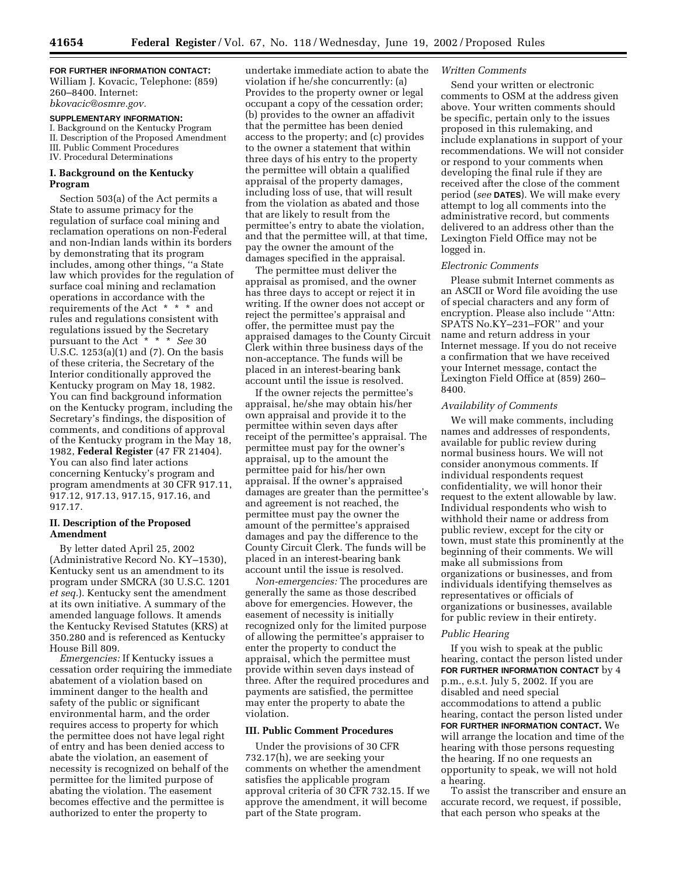## **FOR FURTHER INFORMATION CONTACT:**

William J. Kovacic, Telephone: (859) 260–8400. Internet: *bkovacic@osmre.gov.*

## **SUPPLEMENTARY INFORMATION:**

I. Background on the Kentucky Program II. Description of the Proposed Amendment III. Public Comment Procedures IV. Procedural Determinations

### **I. Background on the Kentucky Program**

Section 503(a) of the Act permits a State to assume primacy for the regulation of surface coal mining and reclamation operations on non-Federal and non-Indian lands within its borders by demonstrating that its program includes, among other things, ''a State law which provides for the regulation of surface coal mining and reclamation operations in accordance with the requirements of the Act  $* * *$  and rules and regulations consistent with regulations issued by the Secretary pursuant to the Act\*\*\* *See* 30 U.S.C. 1253(a)(1) and (7). On the basis of these criteria, the Secretary of the Interior conditionally approved the Kentucky program on May 18, 1982. You can find background information on the Kentucky program, including the Secretary's findings, the disposition of comments, and conditions of approval of the Kentucky program in the May 18, 1982, **Federal Register** (47 FR 21404). You can also find later actions concerning Kentucky's program and program amendments at 30 CFR 917.11, 917.12, 917.13, 917.15, 917.16, and 917.17.

### **II. Description of the Proposed Amendment**

By letter dated April 25, 2002 (Administrative Record No. KY–1530), Kentucky sent us an amendment to its program under SMCRA (30 U.S.C. 1201 *et seq.*). Kentucky sent the amendment at its own initiative. A summary of the amended language follows. It amends the Kentucky Revised Statutes (KRS) at 350.280 and is referenced as Kentucky House Bill 809.

*Emergencies:* If Kentucky issues a cessation order requiring the immediate abatement of a violation based on imminent danger to the health and safety of the public or significant environmental harm, and the order requires access to property for which the permittee does not have legal right of entry and has been denied access to abate the violation, an easement of necessity is recognized on behalf of the permittee for the limited purpose of abating the violation. The easement becomes effective and the permittee is authorized to enter the property to

undertake immediate action to abate the violation if he/she concurrently: (a) Provides to the property owner or legal occupant a copy of the cessation order; (b) provides to the owner an affadivit that the permittee has been denied access to the property; and (c) provides to the owner a statement that within three days of his entry to the property the permittee will obtain a qualified appraisal of the property damages, including loss of use, that will result from the violation as abated and those that are likely to result from the permittee's entry to abate the violation, and that the permittee will, at that time, pay the owner the amount of the damages specified in the appraisal.

The permittee must deliver the appraisal as promised, and the owner has three days to accept or reject it in writing. If the owner does not accept or reject the permittee's appraisal and offer, the permittee must pay the appraised damages to the County Circuit Clerk within three business days of the non-acceptance. The funds will be placed in an interest-bearing bank account until the issue is resolved.

If the owner rejects the permittee's appraisal, he/she may obtain his/her own appraisal and provide it to the permittee within seven days after receipt of the permittee's appraisal. The permittee must pay for the owner's appraisal, up to the amount the permittee paid for his/her own appraisal. If the owner's appraised damages are greater than the permittee's and agreement is not reached, the permittee must pay the owner the amount of the permittee's appraised damages and pay the difference to the County Circuit Clerk. The funds will be placed in an interest-bearing bank account until the issue is resolved.

*Non-emergencies:* The procedures are generally the same as those described above for emergencies. However, the easement of necessity is initially recognized only for the limited purpose of allowing the permittee's appraiser to enter the property to conduct the appraisal, which the permittee must provide within seven days instead of three. After the required procedures and payments are satisfied, the permittee may enter the property to abate the violation.

### **III. Public Comment Procedures**

Under the provisions of 30 CFR 732.17(h), we are seeking your comments on whether the amendment satisfies the applicable program approval criteria of 30 CFR 732.15. If we approve the amendment, it will become part of the State program.

## *Written Comments*

Send your written or electronic comments to OSM at the address given above. Your written comments should be specific, pertain only to the issues proposed in this rulemaking, and include explanations in support of your recommendations. We will not consider or respond to your comments when developing the final rule if they are received after the close of the comment period (*see* **DATES**). We will make every attempt to log all comments into the administrative record, but comments delivered to an address other than the Lexington Field Office may not be logged in.

### *Electronic Comments*

Please submit Internet comments as an ASCII or Word file avoiding the use of special characters and any form of encryption. Please also include ''Attn: SPATS No.KY–231–FOR'' and your name and return address in your Internet message. If you do not receive a confirmation that we have received your Internet message, contact the Lexington Field Office at (859) 260– 8400.

## *Availability of Comments*

We will make comments, including names and addresses of respondents, available for public review during normal business hours. We will not consider anonymous comments. If individual respondents request confidentiality, we will honor their request to the extent allowable by law. Individual respondents who wish to withhold their name or address from public review, except for the city or town, must state this prominently at the beginning of their comments. We will make all submissions from organizations or businesses, and from individuals identifying themselves as representatives or officials of organizations or businesses, available for public review in their entirety.

#### *Public Hearing*

If you wish to speak at the public hearing, contact the person listed under **FOR FURTHER INFORMATION CONTACT** by 4 p.m., e.s.t. July 5, 2002. If you are disabled and need special accommodations to attend a public hearing, contact the person listed under **FOR FURTHER INFORMATION CONTACT.** We will arrange the location and time of the hearing with those persons requesting the hearing. If no one requests an opportunity to speak, we will not hold a hearing.

To assist the transcriber and ensure an accurate record, we request, if possible, that each person who speaks at the